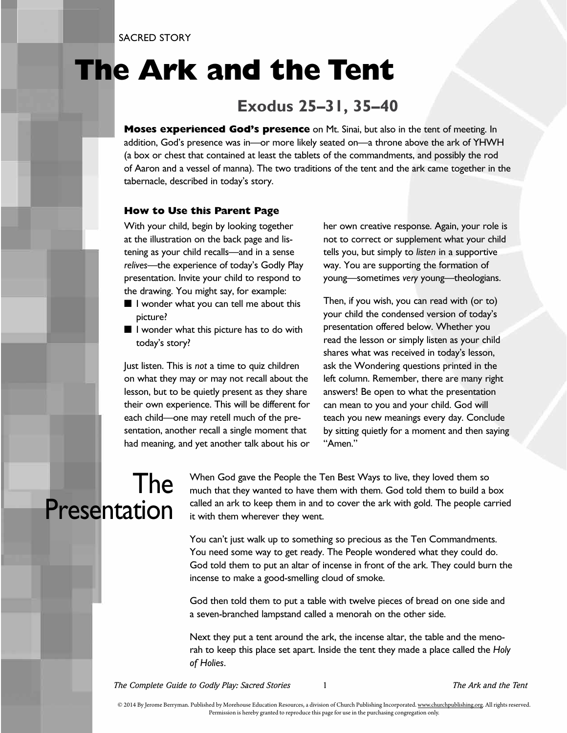## **The Ark and the Tent**

#### **Exodus 25–31, 35–40**

**Moses experienced God's presence** on Mt. Sinai, but also in the tent of meeting. In addition, God's presence was in—or more likely seated on—a throne above the ark of YHWH (a box or chest that contained at least the tablets of the commandments, and possibly the rod of Aaron and a vessel of manna). The two traditions of the tent and the ark came together in the tabernacle, described in today's story.

#### **How to Use this Parent Page**

With your child, begin by looking together at the illustration on the back page and listening as your child recalls—and in a sense *relives*—the experience of today's Godly Play presentation. Invite your child to respond to the drawing. You might say, for example:

- I wonder what you can tell me about this picture?
- I wonder what this picture has to do with today's story?

Just listen. This is *not* a time to quiz children on what they may or may not recall about the lesson, but to be quietly present as they share their own experience. This will be different for each child—one may retell much of the presentation, another recall a single moment that had meaning, and yet another talk about his or her own creative response. Again, your role is not to correct or supplement what your child tells you, but simply to *listen* in a supportive way. You are supporting the formation of young—sometimes *very* young—theologians.

Then, if you wish, you can read with (or to) your child the condensed version of today's presentation offered below. Whether you read the lesson or simply listen as your child shares what was received in today's lesson, ask the Wondering questions printed in the left column. Remember, there are many right answers! Be open to what the presentation can mean to you and your child. God will teach you new meanings every day. Conclude by sitting quietly for a moment and then saying "Amen."

#### The Presentation

When God gave the People the Ten Best Ways to live, they loved them so much that they wanted to have them with them. God told them to build a box called an ark to keep them in and to cover the ark with gold. The people carried it with them wherever they went.

You can't just walk up to something so precious as the Ten Commandments. You need some way to get ready. The People wondered what they could do. God told them to put an altar of incense in front of the ark. They could burn the incense to make a good-smelling cloud of smoke.

God then told them to put a table with twelve pieces of bread on one side and a seven-branched lampstand called a menorah on the other side.

Next they put a tent around the ark, the incense altar, the table and the menorah to keep this place set apart. Inside the tent they made a place called the *Holy of Holies*.

*The Complete Guide to Godly Play: Sacred Stories* 1 *The Ark and the Tent*